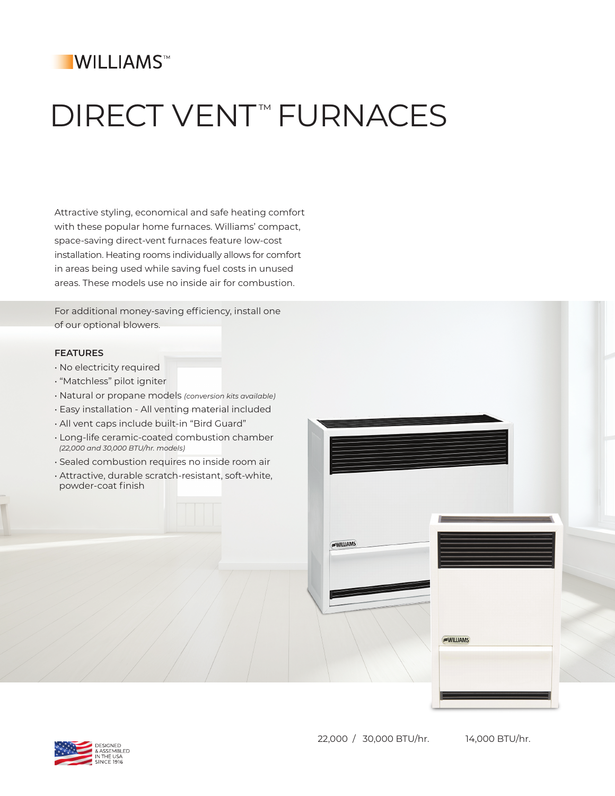## **IWILLIAMS™**

# **DIRECT VENT<sup>™</sup> FURNACES**

Attractive styling, economical and safe heating comfort with these popular home furnaces. Williams' compact, space-saving direct-vent furnaces feature low-cost installation. Heating rooms individually allows for comfort in areas being used while saving fuel costs in unused areas. These models use no inside air for combustion.

For additional money-saving efficiency, install one of our optional blowers.

#### **FEATURES**

- No electricity required
- "Matchless" pilot igniter
- Natural or propane models *(conversion kits available)*
- Easy installation All venting material included
- All vent caps include built-in "Bird Guard"
- Long-life ceramic-coated combustion chamber  *(22,000 and 30,000 BTU/hr. models)*
- Sealed combustion requires no inside room air
- Attractive, durable scratch-resistant, soft-white, powder-coat finish





**WILLIAMS**